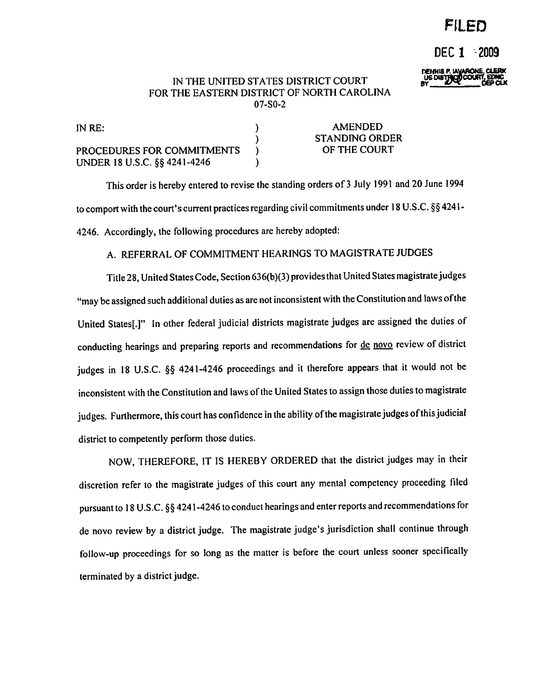# FILED

DEC 1 2009

DEINIS P. LAVARONE, CLE

#### IN THE UNITED STATES DISTRICT COURT FOR THE EASTERN DISTRICT OF NORTH CAROLINA  $07-S0-2$

| IN $RE:$                     | AMENDED               |
|------------------------------|-----------------------|
|                              | <b>STANDING ORDER</b> |
| PROCEDURES FOR COMMITMENTS   | OF THE COURT          |
| UNDER 18 U.S.C. §§ 4241-4246 |                       |

This order is hereby entered to revise the standing orders of 3 July 1991 and 20 June 1994 to comport with the court's current practices regarding civil commitments under 18 U.S.C. §§ 4241-4246. Accordingly, the following procedures are hereby adopted:

#### A. REFERRAL OF COMMITMENT HEARINGS TO MAGISTRATE JUDGES

Title 28, United States Code, Section 636(b)(3) provides that United States magistrate judges "may be assigned such additional duties as are not inconsistent with the Constitution and laws of the United States[.]" In other federal judicial districts magistrate judges are assigned the duties of conducting hearings and preparing reports and recommendations for de novo review of district judges in 18 U.S.C. §§ 4241-4246 proceedings and it therefore appears that it would not be inconsistent with the Constitution and laws of the United States to assign those duties to magistrate judges. Furthermore, this court has confidence in the ability of the magistrate judges of this judicial district to competently perform those duties.

NOW, THEREFORE, IT IS HEREBY ORDERED that the district judges may in their discretion refer to the magistrate judges of this court any mental competency proceeding filed pursuant to 18 U.S.C. §§ 4241-4246 to conduct hearings and enter reports and recommendations for de novo review by a district judge. The magistrate judge's jurisdiction shall continue through follow-up proceedings for so long as the matter is before the court unless sooner specifically terminated by a district judge.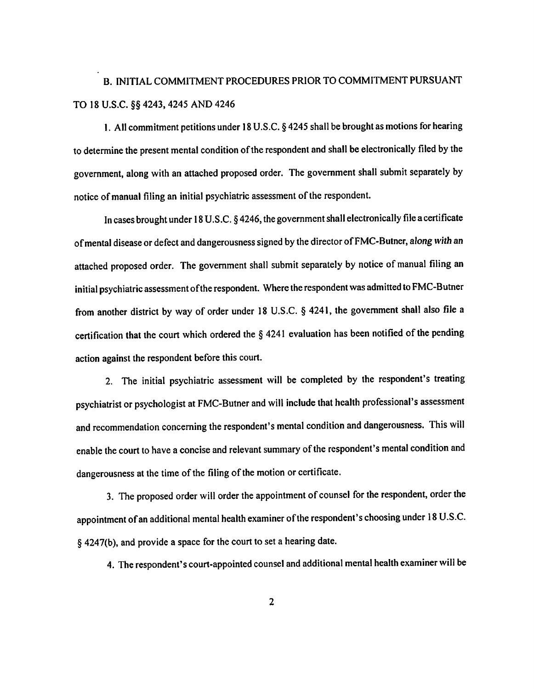# B. INITIAL COMMITMENT PROCEDURES PRIOR TO COMMITMENT PURSUANT TO 18 U.S.C. §§ 4243, 4245 AND 4246

1. All commitment petitions under 18 U.S.C.  $\S$  4245 shall be brought as motions for hearing to determine the present mental condition of the respondent and shall be electronically filed by the government, along with an attached proposed order. The government shall submit separately by notice of manual filing an initial psychiatric assessment of the respondent.

In cases brought under 18 U.S.C. § 4246, the government shall electronically file a certificate of mental disease or defect and dangerousness signed by the director of FMC-Butner, along with an attached proposed order. The government shall submit separately by notice of manual filing an initial psychiatric assessment of the respondent. Where the respondent was admitted to FMC-Butner from another district by way of order under 18 U.S.C. § 4241, the government shall also file a certification that the court which ordered the  $\S$  4241 evaluation has been notified of the pending action against the respondent before this court.

2. The initial psychiatric assessment will be completed by the respondent's treating psychiatrist or psychologist at FMC-Butner and will include that health professional's assessment and recommendation concerning the respondent's mental condition and dangerousness. This will enable the court to have a concise and relevant summary of the respondent's mental condition and dangerousness at the time of the filing of the motion or certificate.

3. The proposed order will order the appointment of counsel for the respondent, order the appointment of an additional mental health examiner of the respondent's choosing under 18 U.S.C. § 4247(b), and provide a space for the court to set a hearing date.

4. The respondent's court-appointed counsel and additional mental health examiner will be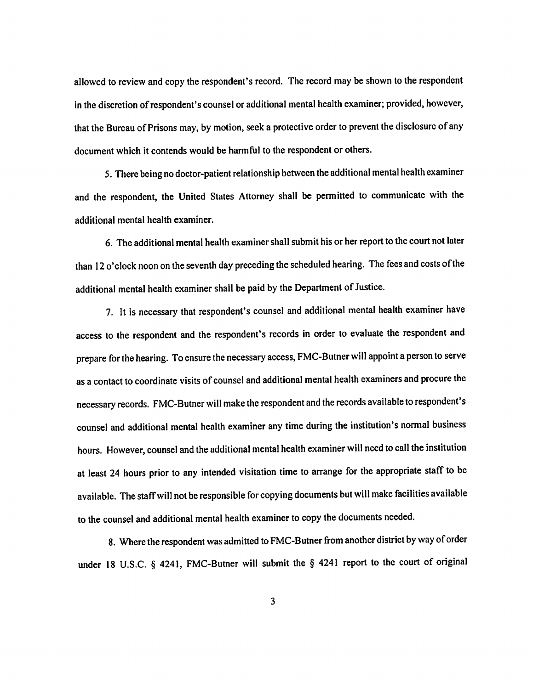allowed to review and copy the respondent's record. The record may be shown to the respondent in the discretion of respondent's counsel or additional mental health examiner; provided, however, that the Bureau of Prisons may, by motion, seek a protective order to prevent the disclosure of any document which it contends would be harmful to the respondent or others.

5. There being no doctor-patient relationship between the additional mental health examiner and the respondent, the United States Attorney shall be permitted to communicate with the additional mental health examiner.

6. The additional mental health examiner shall submit his or her report to the court not later than 12 o'clock noon on the seventh day preceding the scheduled hearing. The fees and costs of the additional mental health examiner shall be paid by the Department of Justice.

7. It is necessary that respondent's counsel and additional mental health examiner have access to the respondent and the respondent's records in order to evaluate the respondent and prepare for the hearing. To ensure the necessary access, FMC-Butner will appoint a person to serve as a contact to coordinate visits of counsel and additional mental health examiners and procure the necessary records. FMC-Butner will make the respondent and the records available to respondent's counsel and additional mental health examiner any time during the institution's normal business hours. However, counsel and the additional mental health examiner will need to call the institution at least 24 hours prior to any intended visitation time to arrange for the appropriate staff to be available. The staff will not be responsible for copying documents but will make facilities available to the counsel and additional mental health examiner to copy the documents needed.

8. Where the respondent was admitted to FMC-Butner from another district by way of order under 18 U.S.C. § 4241, FMC-Butner will submit the § 4241 report to the court of original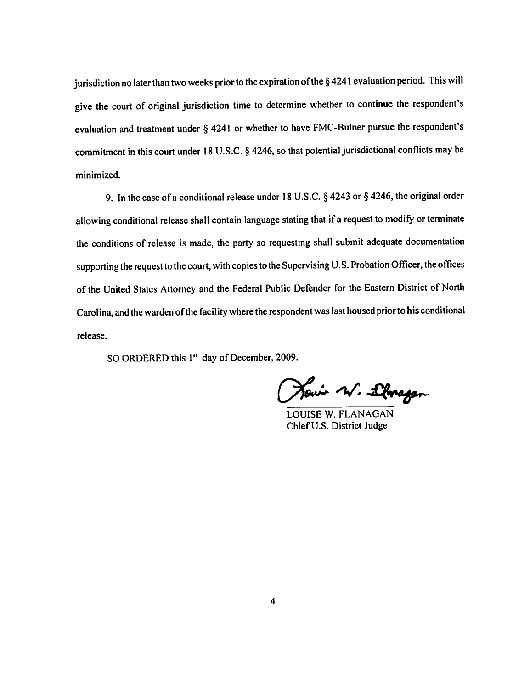jurisdiction no later than two weeks prior to the expiration of the §4241 evaluation period. This will give the court of original jurisdiction time to determine whether to continue the respondent's evaluation and treatment under § 4241 or whether to have FMC-Butner pursue the respondent's commitment in this court under 18 U.S.C. § 4246, so that potential jurisdictional conflicts may be minimized.

9. In the case of a conditional release under 18 U.S.C.  $\S$  4243 or  $\S$  4246, the original order allowing conditional release shall contain language stating that if a request to modify or terminate the conditions of release is made, the party so requesting shall submit adequate documentation supporting the request to the court, with copies to the Supervising U.S. Probation Officer, the offices of the United States Attorney and the Federal Public Defender for the Eastern District of North Carolina, and the warden of the facility where the respondent was last housed prior to his conditional release.

SO ORDERED this 1" day of December, 2009.

Howin W. Lloragen

**LOUISE W. FLANAGAN** Chief U.S. District Judge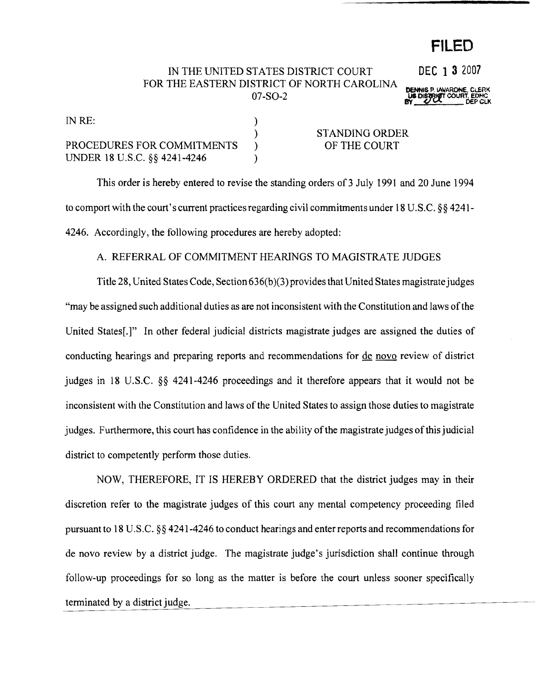# **FILED**

## IN THE UNITED STATES DISTRICT COURT **DEC 1 3** 2007 FOR THE EASTERN DISTRICT OF NORTH CAROLINA **DENNIS P. IAVARONE, CLERK<br>
US DISTRICT COURT, EDMC<br>
BY (***VOL***ERCH) DEP CLK**

| IN RE:                       |                |
|------------------------------|----------------|
|                              | STANDING ORDER |
| PROCEDURES FOR COMMITMENTS   | OF THE COURT   |
| UNDER 18 U.S.C. §§ 4241-4246 |                |

This order is hereby entered to revise the standing orders of3 July 1991 and 20 June 1994 to comport with the court's current practices regarding civil commitments under 18 U.S.C. §§ 4241-4246. Accordingly, the following procedures are hereby adopted:

### A. REFERRAL OF COMMITMENT HEARINGS TO MAGISTRATE JUDGES

Title 28, United States Code, Section 636(b)(3) provides that United States magistrate judges "may be assigned such additional duties as are not inconsistent with the Constitution and laws ofthe United States[.]" In other federal judicial districts magistrate judges are assigned the duties of conducting hearings and preparing reports and recommendations for <u>de novo</u> review of district judges in 18 U.S.C. §§ 4241-4246 proceedings and it therefore appears that it would not be inconsistent with the Constitution and laws of the United States to assign those duties to magistrate judges. Furthermore, this court has confidence in the ability of the magistrate judges of this judicial district to competently perform those duties.

NOW, THEREFORE, IT IS HEREBY ORDERED that the district judges may in their discretion refer to the magistrate judges of this court any mental competency proceeding filed pursuant to 18 U.S.C. §§ 4241-4246 to conduct hearings and enter reports and recommendations for de novo review by a district judge. The magistrate judge's jurisdiction shall continue through follow-up proceedings for so long as the matter is before the court unless sooner specifically terminated by a district judge.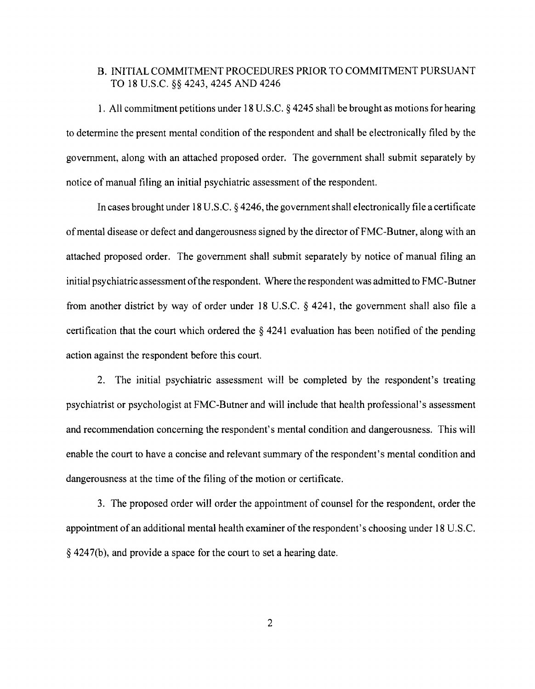#### B. INITIAL COMMITMENT PROCEDURES PRIOR TO COMMITMENT PURSUANT TO 18 U.S.C. §§ 4243, 4245 AND 4246

1. All commitment petitions under 18 U.S.C. § 4245 shall be brought as motions for hearing to determine the present mental condition of the respondent and shall be electronically filed by the government, along with an attached proposed order. The government shall submit separately by notice of manual filing an initial psychiatric assessment of the respondent.

In cases brought under 18 U.S.C. § 4246, the governmentshall electronically file a certificate ofmental disease or defect and dangerousness signed by the director of FMC-Butner, along with an attached proposed order. The government shall submit separately by notice of manual filing an initial psychiatric assessment ofthe respondent. Where the respondent was admitted to FMC-Butner from another district by way of order under 18 U.S.C. § 4241, the government shall also file a certification that the court which ordered the  $\S$  4241 evaluation has been notified of the pending action against the respondent before this court.

2. The initial psychiatric assessment will be completed by the respondent's treating psychiatrist or psychologist at FMC-Butner and will include that health professional's assessment and recommendation concerning the respondent's mental condition and dangerousness. This will enable the court to have a concise and relevant summary of the respondent's mental condition and dangerousness at the time of the filing of the motion or certificate.

3. The proposed order will order the appointment of counsel for the respondent, order the appointment of an additional mental health examiner of the respondent's choosing under 18 U.S.C. § 4247(b), and provide a space for the court to set a hearing date.

2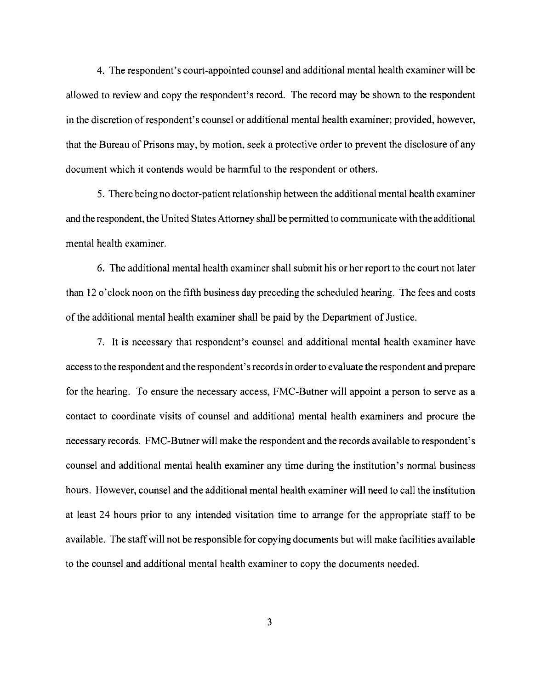4. The respondent's court-appointed counsel and additional mental health examiner will be allowed to review and copy the respondent's record. The record may be shown to the respondent in the discretion of respondent's counsel or additional mental health examiner; provided, however, that the Bureau of Prisons may, by motion, seek a protective order to prevent the disclosure of any document which it contends would be harmful to the respondent or others.

5. There being no doctor-patient relationship between the additional mental health examiner and the respondent, the United States Attorney shall be permitted to communicate with the additional mental health examiner.

6. The additional mental health examiner shall submit his or her report to the court not later than 12 0'clock noon on the fifth business day preceding the scheduled hearing. The fees and costs of the additional mental health examiner shall be paid by the Department of Justice.

7. It is necessary that respondent's counsel and additional mental health examiner have access to the respondent and the respondent's records in order to evaluate the respondent and prepare for the hearing. To ensure the necessary access, FMC-Butner will appoint a person to serve as a contact to coordinate visits of counsel and additional mental health examiners and procure the necessary records. FMC-Butner will make the respondent and the records available to respondent's counsel and additional mental health examiner any time during the institution's normal business hours. However, counsel and the additional mental health examiner will need to call the institution at least 24 hours prior to any intended visitation time to arrange for the appropriate staff to be available. The staffwill not be responsible for copying documents but will make facilities available to the counsel and additional mental health examiner to copy the documents needed.